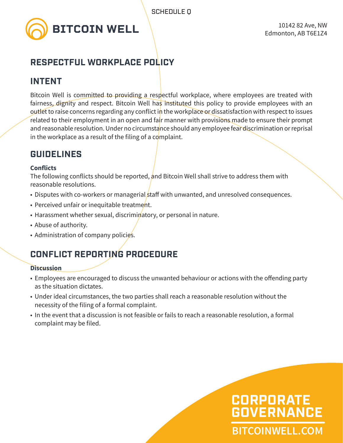

## **RESPECTFUL WORKPLACE POLICY**

### **INTENT**

Bitcoin Well is committed to providing a respectful workplace, where employees are treated with fairness, dignity and respect. Bitcoin Well has instituted this policy to provide employees with an outlet to raise concerns regarding any conflict in the workplace or dissatisfaction with respect to issues related to their employment in an open and fair manner with provisions made to ensure their prompt and reasonable resolution. Under no circumstance should any employee fear discrimination or reprisal in the workplace as a result of the filing of a complaint.

## **GUIDELINES**

#### **Conflicts**

The following conflicts should be reported, and Bitcoin Well shall strive to address them with reasonable resolutions.

- Disputes with co-workers or managerial staff with unwanted, and unresolved consequences.
- Perceived unfair or inequitable treatment.
- Harassment whether sexual, discriminatory, or personal in nature.
- Abuse of authority.
- Administration of company policies.

## **CONFLICT REPORTING PROCEDURE**

#### **Discussion**

- Employees are encouraged to discuss the unwanted behaviour or actions with the offending party as the situation dictates.
- Under ideal circumstances, the two parties shall reach a reasonable resolution without the necessity of the filing of a formal complaint.
- In the event that a discussion is not feasible or fails to reach a reasonable resolution, a formal complaint may be filed.

# **BITCOINWELL.COM CORPORATE GOVERNANCE**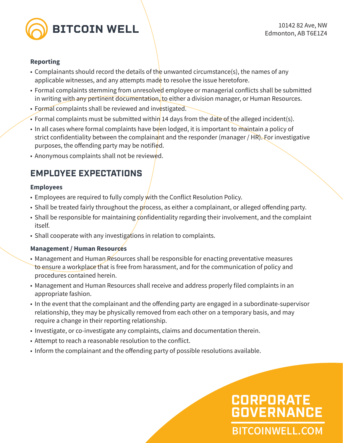

#### **Reporting**

- Complainants should record the details of the unwanted circumstance(s), the names of any applicable witnesses, and any attempts made to resolve the issue heretofore.
- Formal complaints stemming from unresolved employee or managerial conflicts shall be submitted in writing with any pertinent documentation, to either a division manager, or Human Resources.
- Formal complaints shall be reviewed and investigated.
- Formal complaints must be submitted within 14 days from the date of the alleged incident(s).
- In all cases where formal complaints have been lodged, it is important to maintain a policy of strict confidentiality between the complainant and the responder (manager / HR). For investigative purposes, the offending party may be notified.
- Anonymous complaints shall not be reviewed.

## **EMPLOYEE EXPECTATIONS**

#### **Employees**

- Employees are required to fully comply with the Conflict Resolution Policy.
- Shall be treated fairly throughout the process, as either a complainant, or alleged offending party.
- Shall be responsible for maintaining confidentiality regarding their involvement, and the complaint itself.
- Shall cooperate with any investigations in relation to complaints.

#### **Management / Human Resources**

- Management and Human Resources shall be responsible for enacting preventative measures to ensure a workplace that is free from harassment, and for the communication of policy and procedures contained herein.
- Management and Human Resources shall receive and address properly filed complaints in an appropriate fashion.
- In the event that the complainant and the offending party are engaged in a subordinate-supervisor relationship, they may be physically removed from each other on a temporary basis, and may require a change in their reporting relationship.
- Investigate, or co-investigate any complaints, claims and documentation therein.
- Attempt to reach a reasonable resolution to the conflict.
- Inform the complainant and the offending party of possible resolutions available.

# **BITCOINWELL.COM CORPORATE GOVERNANCE**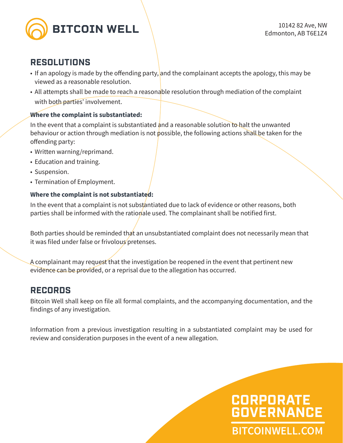

### **RESOLUTIONS**

- If an apology is made by the offending party, and the complainant accepts the apology, this may be viewed as a reasonable resolution.
- All attempts shall be made to reach a reasonable resolution through mediation of the complaint with both parties' involvement.

#### **Where the complaint is substantiated:**

In the event that a complaint is substantiated and a reasonable solution to halt the unwanted behaviour or action through mediation is not possible, the following actions shall be taken for the offending party:

- Written warning/reprimand.
- Education and training.
- Suspension.
- Termination of Employment.

#### **Where the complaint is not substantiated:**

In the event that a complaint is not substantiated due to lack of evidence or other reasons, both parties shall be informed with the rationale used. The complainant shall be notified first.

Both parties should be reminded that an unsubstantiated complaint does not necessarily mean that it was filed under false or frivolous pretenses.

A complainant may request that the investigation be reopened in the event that pertinent new evidence can be provided, or a reprisal due to the allegation has occurred.

### **RECORDS**

Bitcoin Well shall keep on file all formal complaints, and the accompanying documentation, and the findings of any investigation.

Information from a previous investigation resulting in a substantiated complaint may be used for review and consideration purposes in the event of a new allegation.

# **BITCOINWELL.COM CORPORATE GOVERNANCE**